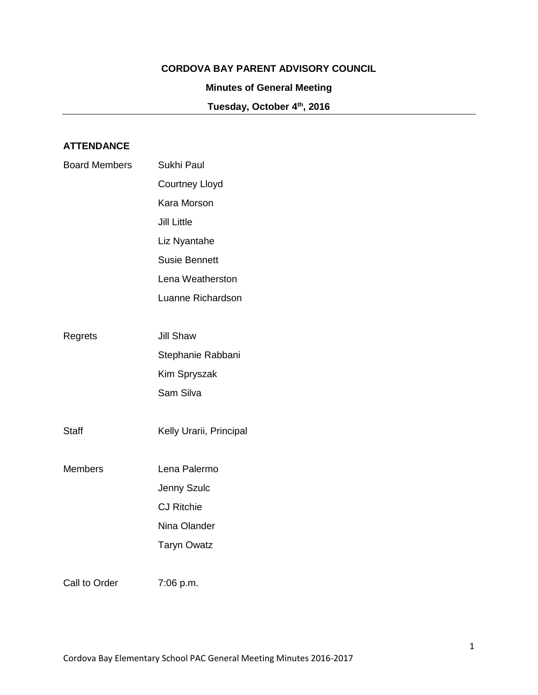### **CORDOVA BAY PARENT ADVISORY COUNCIL**

## **Minutes of General Meeting**

**Tuesday, October 4th, 2016**

# **ATTENDANCE**

| <b>Board Members</b> | Sukhi Paul              |
|----------------------|-------------------------|
|                      | <b>Courtney Lloyd</b>   |
|                      | Kara Morson             |
|                      | <b>Jill Little</b>      |
|                      | Liz Nyantahe            |
|                      | <b>Susie Bennett</b>    |
|                      | Lena Weatherston        |
|                      | Luanne Richardson       |
|                      |                         |
| Regrets              | <b>Jill Shaw</b>        |
|                      | Stephanie Rabbani       |
|                      | Kim Spryszak            |
|                      | Sam Silva               |
|                      |                         |
| <b>Staff</b>         | Kelly Urarii, Principal |
|                      |                         |
| <b>Members</b>       | Lena Palermo            |
|                      | Jenny Szulc             |
|                      | <b>CJ Ritchie</b>       |
|                      | Nina Olander            |
|                      | <b>Taryn Owatz</b>      |
|                      |                         |
| Call to Order        | 7:06 p.m.               |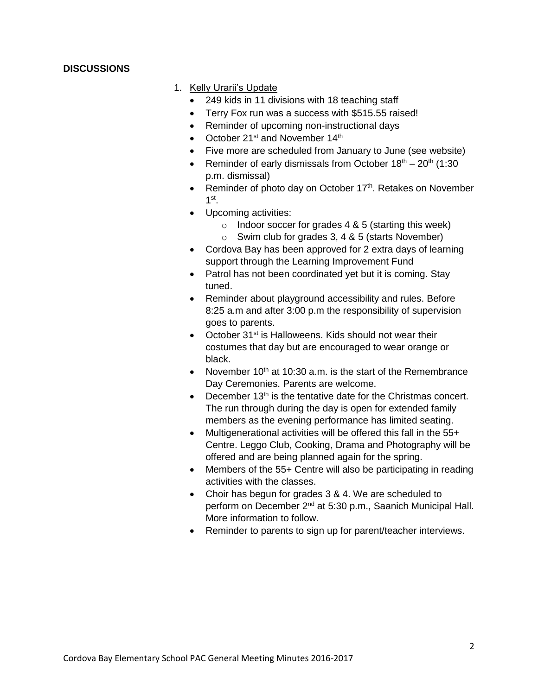### **DISCUSSIONS**

### 1. Kelly Urarii's Update

- 249 kids in 11 divisions with 18 teaching staff
- Terry Fox run was a success with \$515.55 raised!
- Reminder of upcoming non-instructional days
- October  $21^{st}$  and November  $14^{th}$
- Five more are scheduled from January to June (see website)
- Reminder of early dismissals from October  $18<sup>th</sup> 20<sup>th</sup>$  (1:30) p.m. dismissal)
- Reminder of photo day on October 17<sup>th</sup>. Retakes on November 1 st .
- Upcoming activities:
	- o Indoor soccer for grades  $4 & 5$  (starting this week)
	- $\circ$  Swim club for grades 3, 4 & 5 (starts November)
- Cordova Bay has been approved for 2 extra days of learning support through the Learning Improvement Fund
- Patrol has not been coordinated yet but it is coming. Stay tuned.
- Reminder about playground accessibility and rules. Before 8:25 a.m and after 3:00 p.m the responsibility of supervision goes to parents.
- $\bullet$  October 31<sup>st</sup> is Halloweens. Kids should not wear their costumes that day but are encouraged to wear orange or black.
- November  $10<sup>th</sup>$  at 10:30 a.m. is the start of the Remembrance Day Ceremonies. Parents are welcome.
- $\bullet$  December 13<sup>th</sup> is the tentative date for the Christmas concert. The run through during the day is open for extended family members as the evening performance has limited seating.
- Multigenerational activities will be offered this fall in the 55+ Centre. Leggo Club, Cooking, Drama and Photography will be offered and are being planned again for the spring.
- Members of the 55+ Centre will also be participating in reading activities with the classes.
- Choir has begun for grades 3 & 4. We are scheduled to perform on December 2<sup>nd</sup> at 5:30 p.m., Saanich Municipal Hall. More information to follow.
- Reminder to parents to sign up for parent/teacher interviews.